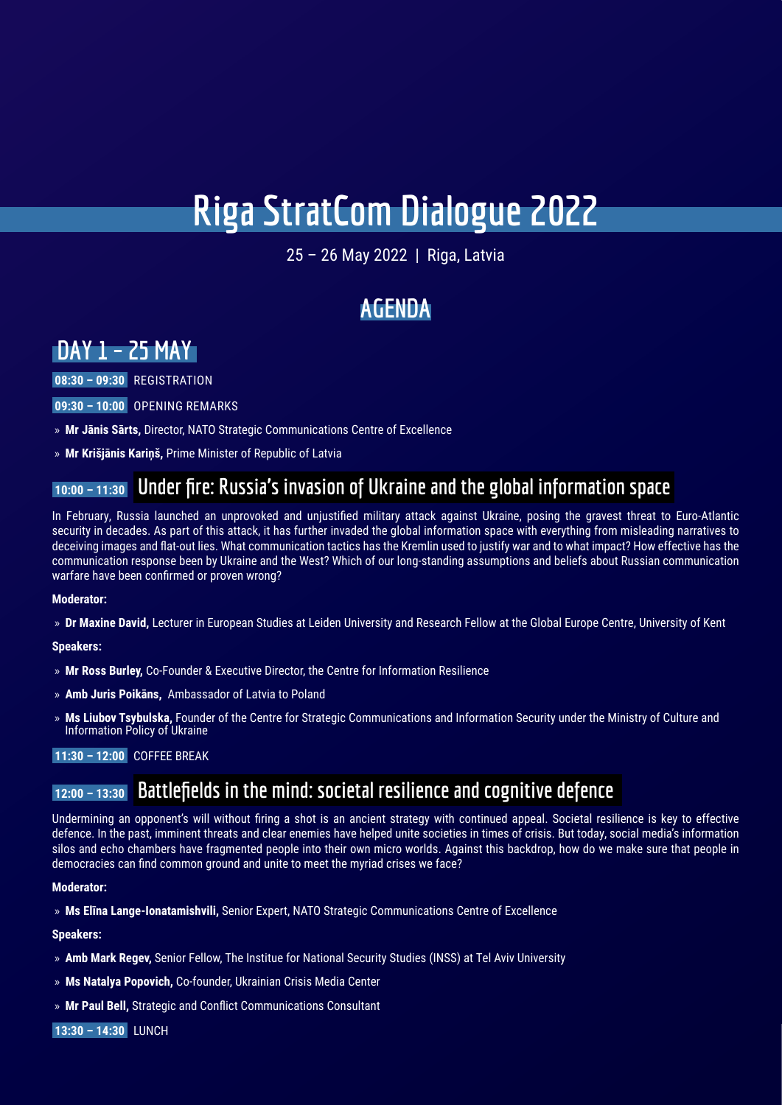# **Riga StratCom Dialogue 2022**

25 – 26 May 2022 | Riga, Latvia

# **AGENDA**

# **DAY 1 – 25 MAY**

 **08:30 – 09:30** REGISTRATION

 **09:30 – 10:00** OPENING REMARKS

- » **Mr Jānis Sārts,** Director, NATO Strategic Communications Centre of Excellence
- » **Mr Krišjānis Kariņš,** Prime Minister of Republic of Latvia

### **10:00 – 11:30 Under fire: Russia's invasion of Ukraine and the global information space**

In February, Russia launched an unprovoked and unjustified military attack against Ukraine, posing the gravest threat to Euro-Atlantic security in decades. As part of this attack, it has further invaded the global information space with everything from misleading narratives to deceiving images and flat-out lies. What communication tactics has the Kremlin used to justify war and to what impact? How effective has the communication response been by Ukraine and the West? Which of our long-standing assumptions and beliefs about Russian communication warfare have been confirmed or proven wrong?

### **Moderator:**

» **Dr Maxine David,** Lecturer in European Studies at Leiden University and Research Fellow at the Global Europe Centre, University of Kent

### **Speakers:**

- » **Mr Ross Burley,** Co-Founder & Executive Director, the Centre for Information Resilience
- » **Amb Juris Poikāns,** Ambassador of Latvia to Poland
- » **Ms Liubov Tsybulska,** Founder of the Centre for Strategic Communications and Information Security under the Ministry of Culture and Information Policy of Ukraine

### **11:30 – 12:00** COFFEE BREAK

### **12:00 – 13:30 Battlefields in the mind: societal resilience and cognitive defence**

Undermining an opponent's will without firing a shot is an ancient strategy with continued appeal. Societal resilience is key to effective defence. In the past, imminent threats and clear enemies have helped unite societies in times of crisis. But today, social media's information silos and echo chambers have fragmented people into their own micro worlds. Against this backdrop, how do we make sure that people in democracies can find common ground and unite to meet the myriad crises we face?

### **Moderator:**

» **Ms Elīna Lange-Ionatamishvili,** Senior Expert, NATO Strategic Communications Centre of Excellence

**Speakers:** 

- » **Amb Mark Regev,** Senior Fellow, The Institue for National Security Studies (INSS) at Tel Aviv University
- » **Ms Natalya Popovich,** Co-founder, Ukrainian Crisis Media Center
- » **Mr Paul Bell,** Strategic and Conflict Communications Consultant

 **13:30 – 14:30** LUNCH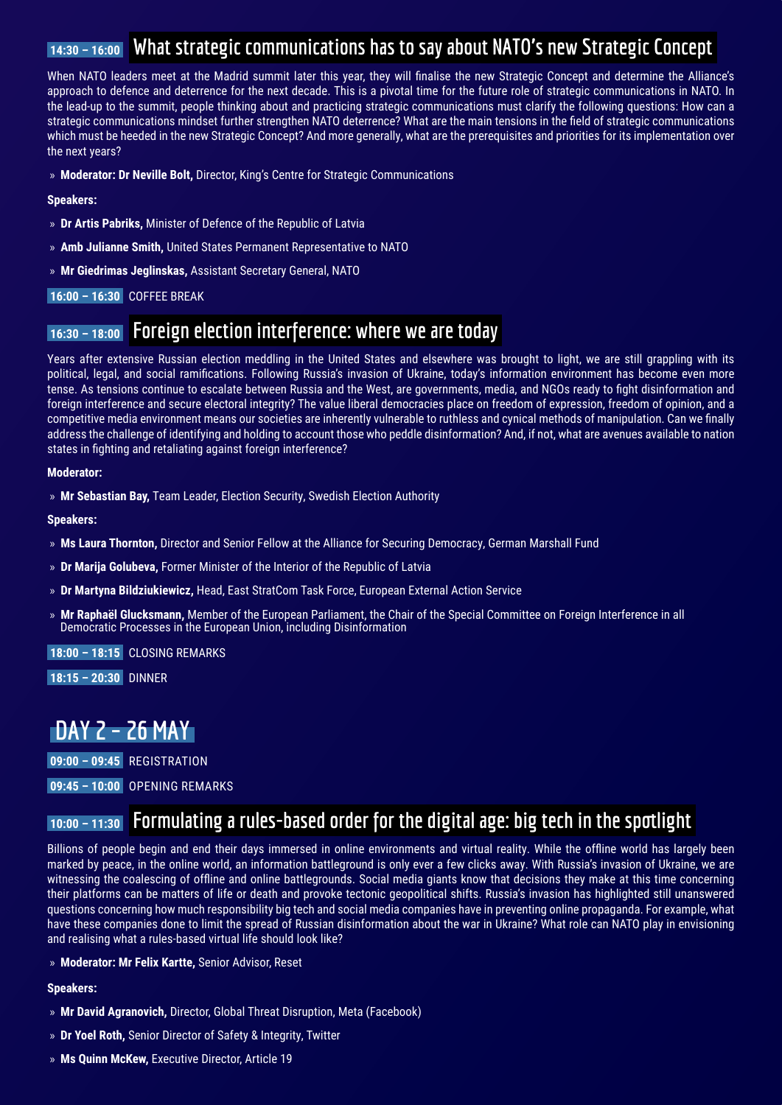### **14:30 – 16:00 What strategic communications has to say about NATO's new Strategic Concept**

When NATO leaders meet at the Madrid summit later this year, they will finalise the new Strategic Concept and determine the Alliance's approach to defence and deterrence for the next decade. This is a pivotal time for the future role of strategic communications in NATO. In the lead-up to the summit, people thinking about and practicing strategic communications must clarify the following questions: How can a strategic communications mindset further strengthen NATO deterrence? What are the main tensions in the field of strategic communications which must be heeded in the new Strategic Concept? And more generally, what are the prerequisites and priorities for its implementation over the next years?

» **Moderator: Dr Neville Bolt,** Director, King's Centre for Strategic Communications

#### **Speakers:**

- » **Dr Artis Pabriks,** Minister of Defence of the Republic of Latvia
- » **Amb Julianne Smith,** United States Permanent Representative to NATO
- » **Mr Giedrimas Jeglinskas,** Assistant Secretary General, NATO

 **16:00 – 16:30** COFFEE BREAK

### **16:30 – 18:00 Foreign election interference: where we are today**

Years after extensive Russian election meddling in the United States and elsewhere was brought to light, we are still grappling with its political, legal, and social ramifications. Following Russia's invasion of Ukraine, today's information environment has become even more tense. As tensions continue to escalate between Russia and the West, are governments, media, and NGOs ready to fight disinformation and foreign interference and secure electoral integrity? The value liberal democracies place on freedom of expression, freedom of opinion, and a competitive media environment means our societies are inherently vulnerable to ruthless and cynical methods of manipulation. Can we finally address the challenge of identifying and holding to account those who peddle disinformation? And, if not, what are avenues available to nation states in fighting and retaliating against foreign interference?

#### **Moderator:**

» **Mr Sebastian Bay,** Team Leader, Election Security, Swedish Election Authority

**Speakers:** 

- » **Ms Laura Thornton,** Director and Senior Fellow at the Alliance for Securing Democracy, German Marshall Fund
- » **Dr Marija Golubeva,** Former Minister of the Interior of the Republic of Latvia
- » **Dr Martyna Bildziukiewicz,** Head, East StratCom Task Force, European External Action Service
- » **Mr Raphaël Glucksmann,** Member of the European Parliament, the Chair of the Special Committee on Foreign Interference in all Democratic Processes in the European Union, including Disinformation

 **18:00 – 18:15** CLOSING REMARKS

 **18:15 – 20:30** DINNER

# **DAY 2 – 26 MAY**

 **09:00 – 09:45** REGISTRATION

 **09:45 – 10:00** OPENING REMARKS

# **10:00 – 11:30 Formulating a rules-based order for the digital age: big tech in the spotlight**

Billions of people begin and end their days immersed in online environments and virtual reality. While the offline world has largely been marked by peace, in the online world, an information battleground is only ever a few clicks away. With Russia's invasion of Ukraine, we are witnessing the coalescing of offline and online battlegrounds. Social media giants know that decisions they make at this time concerning their platforms can be matters of life or death and provoke tectonic geopolitical shifts. Russia's invasion has highlighted still unanswered questions concerning how much responsibility big tech and social media companies have in preventing online propaganda. For example, what have these companies done to limit the spread of Russian disinformation about the war in Ukraine? What role can NATO play in envisioning and realising what a rules-based virtual life should look like?

» **Moderator: Mr Felix Kartte,** Senior Advisor, Reset

**Speakers:** 

- » **Mr David Agranovich,** Director, Global Threat Disruption, Meta (Facebook)
- » **Dr Yoel Roth,** Senior Director of Safety & Integrity, Twitter
- » **Ms Quinn McKew,** Executive Director, Article 19